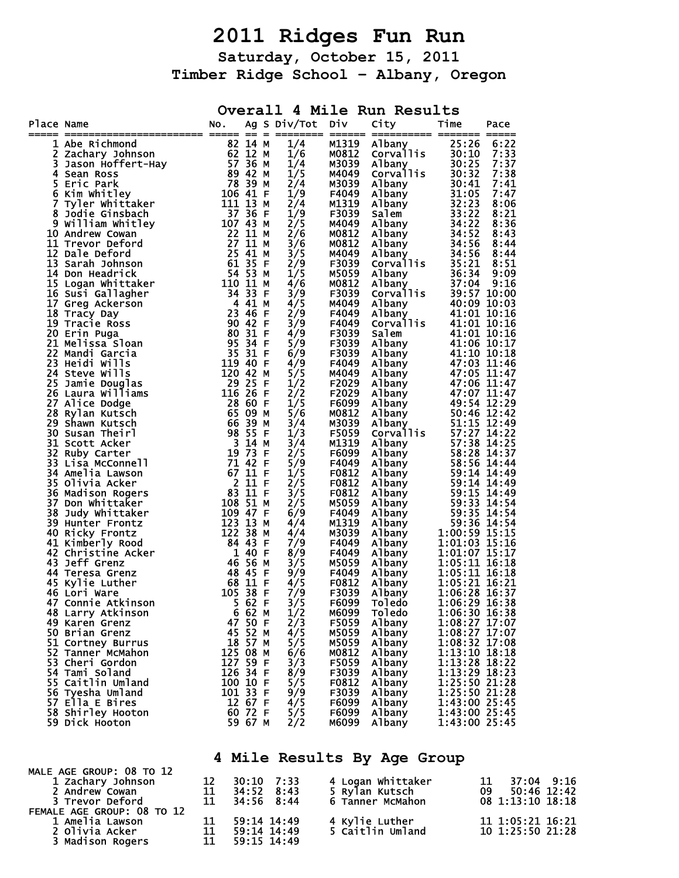## **2011 Ridges Fun Run**

**Saturday, October 15, 2011 Timber Ridge School – Albany, Oregon** 

|            |                                                                                                                                                                                                                                                              |                     |                        |                                    |                | Overall 4 Mile Run Results |                                                                                                                                                                                                                                                      |
|------------|--------------------------------------------------------------------------------------------------------------------------------------------------------------------------------------------------------------------------------------------------------------|---------------------|------------------------|------------------------------------|----------------|----------------------------|------------------------------------------------------------------------------------------------------------------------------------------------------------------------------------------------------------------------------------------------------|
| Place Name | Examined Search Community<br>Sean Ross<br>Sean Ross<br>Eric Park<br>Kim Whitley<br>Tyler Whittaker<br>Joseph Sean Ross<br>2 12 N<br>Sean Ross<br>Eric Park<br>Xim Whitley<br>Tyler Whittaker<br>Joseph Sean Search<br>27 36 N<br>Tyler Whittaker<br>Joseph S | NO.                 |                        | Ag S Div/Tot                       | <b>Div</b>     | City                       | Time<br>Pace<br>===== =                                                                                                                                                                                                                              |
|            | 1 Abe Richmond                                                                                                                                                                                                                                               |                     |                        | 1/4                                | M1319          | Albany                     | 25:26<br>6:22                                                                                                                                                                                                                                        |
|            |                                                                                                                                                                                                                                                              |                     |                        | 1/6                                | M0812          |                            | 7:33                                                                                                                                                                                                                                                 |
| 3          |                                                                                                                                                                                                                                                              |                     |                        | 1/4                                | M3039          |                            | 7:37                                                                                                                                                                                                                                                 |
| 4          |                                                                                                                                                                                                                                                              |                     |                        | 1/5                                | M4049          |                            | 7:38                                                                                                                                                                                                                                                 |
| 5          |                                                                                                                                                                                                                                                              |                     |                        | 2/4                                | M3039          |                            | 7:41                                                                                                                                                                                                                                                 |
| 6<br>7.    |                                                                                                                                                                                                                                                              |                     |                        | 1/9<br>2/4                         | F4049<br>M1319 |                            | 7:47<br>8:06                                                                                                                                                                                                                                         |
| 8          |                                                                                                                                                                                                                                                              |                     |                        | 1/9                                | F3039          |                            | 8:21                                                                                                                                                                                                                                                 |
|            | 9 William Whitley                                                                                                                                                                                                                                            |                     |                        | 2/5                                | M4049          |                            | 8:36                                                                                                                                                                                                                                                 |
|            | 10 Andrew Cowan                                                                                                                                                                                                                                              |                     |                        | 2/6                                | M0812          |                            | 8:43                                                                                                                                                                                                                                                 |
|            | 11 Trevor Deford                                                                                                                                                                                                                                             |                     |                        | 3/6                                | M0812          |                            | 8:44                                                                                                                                                                                                                                                 |
|            | 12 Dale Deford<br>12 Dale Deford<br>13 Sarah Johnson<br>14 Don Headrick<br>15 Logan Whittaker<br>15 Logan Whittaker<br>110 11 M                                                                                                                              |                     | 25 41 M                | 3/5                                | M4049          |                            | 8:44                                                                                                                                                                                                                                                 |
|            |                                                                                                                                                                                                                                                              |                     |                        | 2/9                                | F3039          |                            | 8:51                                                                                                                                                                                                                                                 |
|            |                                                                                                                                                                                                                                                              |                     |                        | 1/5                                | M5059          |                            | 9:09                                                                                                                                                                                                                                                 |
|            | 16 Susi Gallagher                                                                                                                                                                                                                                            |                     |                        | 4/6<br>3/9                         | M0812<br>F3039 |                            | 9:16<br>39:57 10:00                                                                                                                                                                                                                                  |
|            | 17 Greg Ackerson                                                                                                                                                                                                                                             |                     |                        | 4/5                                | M4049          |                            | 40:09 10:03                                                                                                                                                                                                                                          |
|            | 18 Tracy Day                                                                                                                                                                                                                                                 |                     |                        | 2/9                                | F4049          |                            | 41:01 10:16                                                                                                                                                                                                                                          |
|            | 19 Tracie Ross                                                                                                                                                                                                                                               |                     |                        | 3/9                                | F4049          |                            | 41:01 10:16                                                                                                                                                                                                                                          |
|            | $\begin{array}{r} \n\sqrt{3} & 33 \\ \text{ther} & 34 & 33 \\ \text{on} & 4 & 41 \\ \text{23 } 46 & \text{F} \\ \text{90 } 42 & \text{F}\n\end{array}$<br>20 Erin Puga                                                                                       |                     |                        | 4/9                                | F3039          | Salem                      | 41:01 10:16                                                                                                                                                                                                                                          |
|            | 21 Melissa Sloan                                                                                                                                                                                                                                             |                     | 95 34 F                | 5/9                                | F3039          |                            |                                                                                                                                                                                                                                                      |
|            | 22 Mandi Garcia                                                                                                                                                                                                                                              |                     | 35 31 F                | 6/9                                | F3039          |                            |                                                                                                                                                                                                                                                      |
|            | 23 Heidi Wills                                                                                                                                                                                                                                               | 119 40 F            |                        | 4/9                                | F4049          |                            |                                                                                                                                                                                                                                                      |
|            | 24 Steve Wills                                                                                                                                                                                                                                               | 120 42 M<br>29 25 F |                        | 5/5                                | M4049          |                            | Corvaries 41:01 10:16<br>Salem 41:01 10:16<br>Albany 41:00 10:17<br>Albany 41:06 10:17<br>Albany 41:06 10:17<br>Albany 47:03 11:46<br>Albany 47:05 11:47<br>Albany 47:05 11:47<br>Albany 47:06 11:47<br>Albany 47:06 11:47<br>Albany 49:54 12:24<br> |
|            | 25 Jamie Douglas<br>26 Laura Williams                                                                                                                                                                                                                        | 116 26 F            |                        | 1/2<br>2/2                         | F2029<br>F2029 |                            |                                                                                                                                                                                                                                                      |
|            | 27 Alice Dodge                                                                                                                                                                                                                                               |                     | 28 60 F                | 1/5                                | F6099          |                            |                                                                                                                                                                                                                                                      |
|            | 28 Rylan Kutsch                                                                                                                                                                                                                                              |                     | 65 09 M                | 5/6                                | M0812          |                            |                                                                                                                                                                                                                                                      |
|            | 29 Shawn Kutsch                                                                                                                                                                                                                                              |                     | 66 39<br>м             | 3/4                                | M3039          |                            |                                                                                                                                                                                                                                                      |
|            | 30 Susan Theirl                                                                                                                                                                                                                                              |                     | 98 55 F                | 1/3                                | F5059          |                            |                                                                                                                                                                                                                                                      |
|            | 31 Scott Acker                                                                                                                                                                                                                                               |                     | $3 \; 14$<br>М         | 3/4                                | M1319          |                            |                                                                                                                                                                                                                                                      |
| 32         | Ruby Carter                                                                                                                                                                                                                                                  |                     | 19 73 F                | 2/5                                | F6099          |                            |                                                                                                                                                                                                                                                      |
|            | 33 Lisa McConnell                                                                                                                                                                                                                                            |                     | 71 42 F                | 5/9                                | F4049          |                            |                                                                                                                                                                                                                                                      |
|            | 34 Amelia Lawson                                                                                                                                                                                                                                             | $2 \overline{11}$ F | 67 11 F                | 1/5<br>$\overline{2}/\overline{5}$ | F0812          |                            |                                                                                                                                                                                                                                                      |
|            | 35 Olivia Acker<br>36 Madison Rogers                                                                                                                                                                                                                         |                     | 83 11 F                | 3/5                                | F0812<br>F0812 |                            |                                                                                                                                                                                                                                                      |
|            | 37 Don Whittaker                                                                                                                                                                                                                                             | 108 51 M            |                        | 2/5                                | M5059          |                            |                                                                                                                                                                                                                                                      |
|            | 38 Judy Whittaker                                                                                                                                                                                                                                            | 109 47 F            |                        | 6/9                                | F4049          |                            |                                                                                                                                                                                                                                                      |
|            | 39 Hunter Frontz                                                                                                                                                                                                                                             | 123 13 M            |                        | 4/4                                | M1319          |                            |                                                                                                                                                                                                                                                      |
|            | 40 Ricky Frontz                                                                                                                                                                                                                                              | 122 38 M            |                        | 4/4                                | M3039          |                            |                                                                                                                                                                                                                                                      |
|            | 41 Kimberly Rood                                                                                                                                                                                                                                             | 84 43 F             |                        | 7/9                                | F4049          |                            |                                                                                                                                                                                                                                                      |
|            | 42 Christine Acker                                                                                                                                                                                                                                           |                     | 1 40 F                 | 8/9                                | F4049          |                            |                                                                                                                                                                                                                                                      |
|            | <b>43 Jeff Grenz</b>                                                                                                                                                                                                                                         |                     | 46 56<br>M             | 3/5                                | M5059          |                            |                                                                                                                                                                                                                                                      |
|            | 44 Teresa Grenz<br>45 Kylie Luther                                                                                                                                                                                                                           |                     | 48 45<br>-F<br>68 11 F | 9/9<br>4/5                         | F4049<br>F0812 |                            |                                                                                                                                                                                                                                                      |
| 46         | Lori Ware                                                                                                                                                                                                                                                    |                     | 105 38 F               | 7/9                                | F3039          |                            |                                                                                                                                                                                                                                                      |
|            | 47 Connie Atkinson                                                                                                                                                                                                                                           |                     | 5 62 F                 | 3/5                                | F6099          | Toledo                     | 1:06:29 16:38                                                                                                                                                                                                                                        |
|            | 48 Larry Atkinson                                                                                                                                                                                                                                            | 6                   | 62 M                   | 1/2                                | M6099          | Toledo                     | 1:06:30 16:38                                                                                                                                                                                                                                        |
|            | 49 Karen Grenz                                                                                                                                                                                                                                               |                     | 47 50 F                | 2/3                                | F5059          | Albany                     | 1:08:27 17:07                                                                                                                                                                                                                                        |
|            | 50 Brian Grenz                                                                                                                                                                                                                                               |                     | 45 52 M                | 4/5                                | M5059          | Albany                     | 1:08:27 17:07                                                                                                                                                                                                                                        |
|            | 51 Cortney Burrus                                                                                                                                                                                                                                            |                     | 18 57 M                | 5/5                                | M5059          | <b>Albany</b>              | 1:08:32 17:08                                                                                                                                                                                                                                        |
|            | 52 Tanner McMahon                                                                                                                                                                                                                                            |                     | 125 08 M               | 6/6                                | M0812          | Albany                     | 1:13:10 18:18                                                                                                                                                                                                                                        |
|            | 53 Cheri Gordon                                                                                                                                                                                                                                              |                     | 127 59 F               | 3/3                                | F5059          | <b>Albany</b>              | 1:13:28 18:22                                                                                                                                                                                                                                        |
|            | 54 Tami Soland<br>55 Caitlin Umland                                                                                                                                                                                                                          |                     | 126 34 F<br>100 10 F   | 8/9                                | F3039          | Albany                     | 1:13:29 18:23<br>1:25:50 21:28                                                                                                                                                                                                                       |
|            | 56 Tyesha Umland                                                                                                                                                                                                                                             |                     | 101 33 F               | 5/5<br>9/9                         | F0812<br>F3039 | Albany<br>Albany           | 1:25:50 21:28                                                                                                                                                                                                                                        |
|            | 57 Ella E Bires                                                                                                                                                                                                                                              |                     | 12 67 F                | 4/5                                | F6099          | Albany                     | 1:43:00 25:45                                                                                                                                                                                                                                        |
|            | 58 Shirley Hooton                                                                                                                                                                                                                                            |                     | 60 72 F                | 5/5                                | F6099          | Albany                     | 1:43:00 25:45                                                                                                                                                                                                                                        |
|            | 59 Dick Hooton                                                                                                                                                                                                                                               |                     | 59 67 M                | 2/2                                | M6099          | Albany                     | 1:43:00 25:45                                                                                                                                                                                                                                        |

**4 Mile Results By Age Group** 

| MALE AGE GROUP: 08 TO 12                      |    |             |                                    |                   |
|-----------------------------------------------|----|-------------|------------------------------------|-------------------|
| 1 Zachary Johnson                             | 12 | 30:10 7:33  | 4 Logan Whittaker                  | 37:04 9:16        |
| 2 Andrew Cowan                                | 11 | 34:52 8:43  | 5 Rylan Kutsch                     | 09<br>50:46 12:42 |
| 3 Trevor Deford                               | 11 | 34:56 8:44  | 6 Tanner McMahon                   | 08 1:13:10 18:18  |
| FEMALE AGE GROUP: 08 TO 12<br>1 Amelia Lawson |    | 59:14 14:49 |                                    | 11 1:05:21 16:21  |
| 2 Olivia Acker                                | 11 | 59:14 14:49 | 4 Kylie Luther<br>5 Caitlin Umland | 10 1:25:50 21:28  |
| 3 Madison Rogers                              | 11 | 59:15 14:49 |                                    |                   |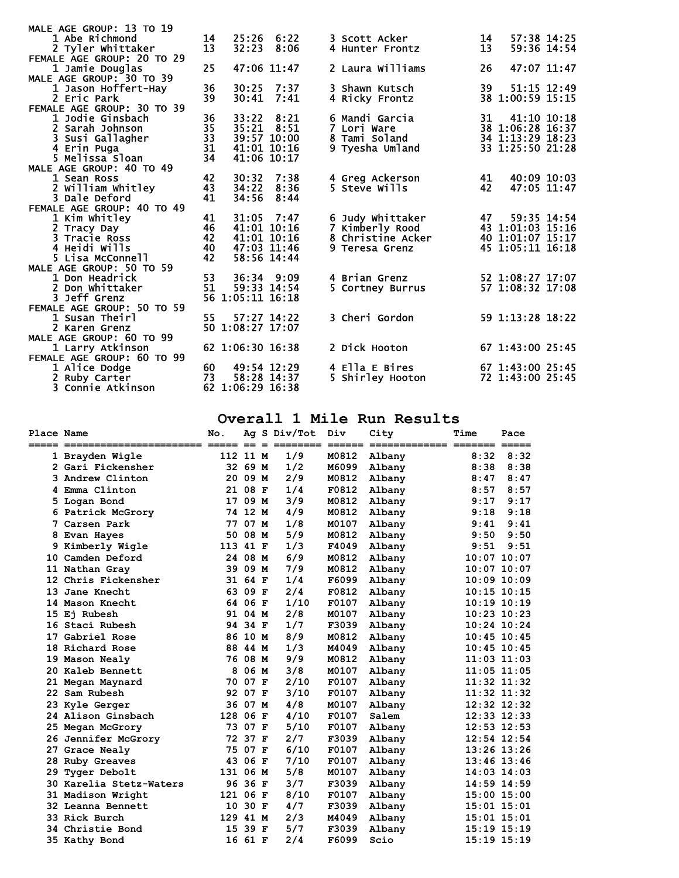| MALE AGE GROUP: 13 TO 19   |                 |                  |              |                          |    |                  |  |
|----------------------------|-----------------|------------------|--------------|--------------------------|----|------------------|--|
| 1 Abe Richmond             | 14              | 25:26 6:22       |              | 3 Scott Acker            | 14 | 57:38 14:25      |  |
| 2 Tyler whittaker          | 13              | 32:23            | 8:06         | 4 Hunter Frontz          | 13 | 59:36 14:54      |  |
| FEMALE AGE GROUP: 20 TO 29 |                 |                  |              |                          |    |                  |  |
| 1 Jamie Douglas            | 25              | 47:06 11:47      |              | 2 Laura Williams         | 26 | 47:07 11:47      |  |
| MALE AGE GROUP: 30 TO 39   |                 |                  |              |                          |    |                  |  |
| 1 Jason Hoffert-Hay        | 36              |                  | 30:25 7:37   | 3 Shawn Kutsch           | 39 | 51:15 12:49      |  |
| 2 Eric Park                | 39              |                  | $30:41$ 7:41 | 4 Ricky Frontz           |    | 38 1:00:59 15:15 |  |
| FEMALE AGE GROUP: 30 TO 39 |                 |                  |              |                          |    |                  |  |
| 1 Jodie Ginsbach           | 36              | 33:22 8:21       |              | 6 Mandi Garcia           | 31 | 41:10 10:18      |  |
| 2 Sarah Johnson            | $\overline{35}$ | 35:21 8:51       |              | 7 Lori Ware              |    | 38 1:06:28 16:37 |  |
| 3 Susi Gallagher           | $\overline{33}$ | 39:57 10:00      |              | 8 Tami Soland            |    | 34 1:13:29 18:23 |  |
| 4 Erin Puga                | 31              | 41:01 10:16      |              | 9 Tyesha Umland          |    | 33 1:25:50 21:28 |  |
| 5 Melissa Sloan            | $\overline{34}$ | 41:06 10:17      |              |                          |    |                  |  |
| MALE AGE GROUP: 40 TO 49   |                 |                  |              |                          |    |                  |  |
| 1 Sean Ross                | 42              | 30:32            | 7:38         | 4 Greg Ackerson          | 41 | 40:09 10:03      |  |
| 2 William Whitley          | 43              | 34:22 8:36       |              | 5 Steve Wills            | 42 | 47:05 11:47      |  |
| <b>3 Dale Deford</b>       | 41              | 34:56            | 8:44         |                          |    |                  |  |
| FEMALE AGE GROUP: 40 TO 49 |                 |                  |              |                          |    |                  |  |
| 1 Kim whitley              | 41              | $31:05$ 7:47     |              | 6 Judy Whittaker         | 47 | 59:35 14:54      |  |
| 2 Tracy Day                | 46              | 41:01 10:16      |              | 7 Kimberly Rood          |    | 43 1:01:03 15:16 |  |
| 3 Tracie Ross              | 42              | 41:01 10:16      |              | <b>8 Christine Acker</b> |    | 40 1:01:07 15:17 |  |
| 4 Heidi Wills              | 40              | 47:03 11:46      |              | 9 Teresa Grenz           |    | 45 1:05:11 16:18 |  |
| 5 Lisa McConnell           | 42              | 58:56 14:44      |              |                          |    |                  |  |
| MALE AGE GROUP: 50 TO 59   |                 |                  |              |                          |    |                  |  |
| 1 Don Headrick             | 53              | 36:34 9:09       |              | 4 Brian Grenz            |    | 52 1:08:27 17:07 |  |
| 2 Don Whittaker            | 51              | 59:33 14:54      |              | 5 Cortney Burrus         |    | 57 1:08:32 17:08 |  |
| <b>3 Jeff Grenz</b>        |                 | 56 1:05:11 16:18 |              |                          |    |                  |  |
| FEMALE AGE GROUP: 50 TO 59 |                 |                  |              |                          |    |                  |  |
| 1 Susan Theirl             | 55              | 57:27 14:22      |              | 3 Cheri Gordon           |    | 59 1:13:28 18:22 |  |
| 2 Karen Grenz              |                 | 50 1:08:27 17:07 |              |                          |    |                  |  |
| MALE AGE GROUP: 60 TO 99   |                 |                  |              |                          |    |                  |  |
| 1 Larry Atkinson           |                 | 62 1:06:30 16:38 |              | 2 Dick Hooton            |    | 67 1:43:00 25:45 |  |
| FEMALE AGE GROUP: 60 TO 99 |                 |                  |              |                          |    |                  |  |
| 1 Alice Dodge              | 60              | 49:54 12:29      |              | 4 Ella E Bires           |    | 67 1:43:00 25:45 |  |
| 2 Ruby Carter              | 73              | 58:28 14:37      |              | 5 Shirley Hooton         |    | 72 1:43:00 25:45 |  |
| 3 Connie Atkinson          |                 | 62 1:06:29 16:38 |              |                          |    |                  |  |

## **Overall 1 Mile Run Results**

| Place Name |                      | No.      |         | Ag S Div/Tot | Div   | City   | <b>Time</b><br>$=$ $=$ $=$ $=$ | Pace<br>$=$ $=$ $=$ $=$ $=$ |
|------------|----------------------|----------|---------|--------------|-------|--------|--------------------------------|-----------------------------|
|            | 1 Brayden Wigle      | 112 11 M |         | 1/9          | M0812 | Albany | 8:32                           | 8:32                        |
|            | 2 Gari Fickensher    |          | 32 69 M | 1/2          | M6099 | Albany | 8:38                           | 8:38                        |
|            | 3 Andrew Clinton     |          | 20 09 M | 2/9          | M0812 | Albany | 8:47                           | 8:47                        |
| 4          | Emma Clinton         |          | 21 08 F | 1/4          | F0812 | Albany | 8:57                           | 8:57                        |
| 5          | Logan Bond           |          | 17 09 M | 3/9          | M0812 | Albany | 9:17                           | 9:17                        |
|            | 6 Patrick McGrory    |          | 74 12 M | 4/9          | M0812 | Albany | 9:18                           | 9:18                        |
| 7          | Carsen Park          |          | 77 07 M | 1/8          | M0107 | Albany | 9:41                           | 9:41                        |
| 8          | Evan Hayes           |          | 50 08 M | 5/9          | M0812 | Albany | 9:50                           | 9:50                        |
|            | 9 Kimberly Wigle     | 113 41 F |         | 1/3          | F4049 | Albany | 9:51                           | 9:51                        |
| 10         | Camden Deford        |          | 24 08 M | 6/9          | M0812 | Albany | $10:07$ $10:07$                |                             |
|            | 11 Nathan Gray       |          | 39 09 M | 7/9          | M0812 | Albany |                                | $10:07$ $10:07$             |
|            | 12 Chris Fickensher  |          | 31 64 F | 1/4          | F6099 | Albany |                                | $10:09$ $10:09$             |
| 13         | Jane Knecht          |          | 63 09 F | 2/4          | F0812 | Albany |                                | $10:15$ $10:15$             |
|            | 14 Mason Knecht      |          | 64 06 F | 1/10         | F0107 | Albany |                                | $10:19$ $10:19$             |
| 15.        | Ej Rubesh            |          | 91 04 M | 2/8          | M0107 | Albany |                                | $10:23$ $10:23$             |
|            | 16 Staci Rubesh      |          | 94 34 F | 1/7          | F3039 | Albany |                                | $10:24$ $10:24$             |
| 17         | Gabriel Rose         |          | 86 10 M | 8/9          | M0812 | Albany |                                | $10:45$ $10:45$             |
| 18         | Richard Rose         |          | 88 44 M | 1/3          | M4049 | Albany |                                | $10:45$ $10:45$             |
|            | 19 Mason Nealy       |          | 76 08 M | 9/9          | M0812 | Albany | $11:03$ $11:03$                |                             |
|            | 20 Kaleb Bennett     |          | 8 06 M  | 3/8          | M0107 | Albany |                                | $11:05$ $11:05$             |
|            | 21 Megan Maynard     |          | 70 07 F | 2/10         | F0107 | Albany |                                | 11:32 11:32                 |
| 22         | Sam Rubesh           |          | 92 07 F | 3/10         | F0107 | Albany |                                | $11:32$ $11:32$             |
|            | 23 Kyle Gerger       |          | 36 07 M | 4/8          | M0107 | Albany |                                | 12:32 12:32                 |
|            | 24 Alison Ginsbach   | 128 06 F |         | 4/10         | F0107 | Salem  |                                | $12:33$ $12:33$             |
|            | 25 Megan McGrory     |          | 73 07 F | 5/10         | F0107 | Albany |                                | $12:53$ $12:53$             |
|            | 26 Jennifer McGrory  |          | 72 37 F | 2/7          | F3039 | Albany |                                | $12:54$ $12:54$             |
| 27         | Grace Nealy          |          | 75 07 F | 6/10         | F0107 | Albany |                                | $13:26$ $13:26$             |
|            | 28 Ruby Greaves      |          | 43 06 F | 7/10         | F0107 | Albany |                                | $13:46$ $13:46$             |
| 29.        | Tyger Debolt         | 131 06 M |         | 5/8          | M0107 | Albany |                                | $14:03$ $14:03$             |
| 30.        | Karelia Stetz-Waters |          | 96 36 F | 3/7          | F3039 | Albany |                                | 14:59 14:59                 |
|            | 31 Madison Wright    | 121 06 F |         | 8/10         | F0107 | Albany |                                | 15:00 15:00                 |
|            | 32 Leanna Bennett    |          | 10 30 F | 4/7          | F3039 | Albany | $15:01$ $15:01$                |                             |
|            | 33 Rick Burch        | 129 41 M |         | 2/3          | M4049 | Albany | $15:01$ $15:01$                |                             |
|            | 34 Christie Bond     | 15       | 39 F    | 5/7          | F3039 | Albany |                                | $15:19$ $15:19$             |
|            | 35 Kathy Bond        |          | 16 61 F | 2/4          | F6099 | Scio   |                                | $15:19$ $15:19$             |